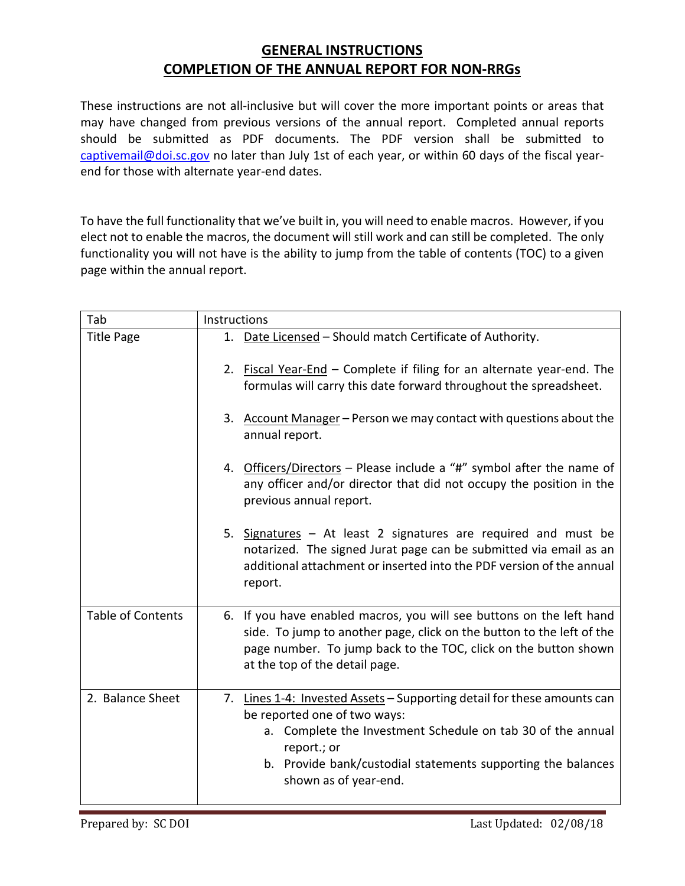## **GENERAL INSTRUCTIONS COMPLETION OF THE ANNUAL REPORT FOR NON‐RRGs**

These instructions are not all-inclusive but will cover the more important points or areas that may have changed from previous versions of the annual report. Completed annual reports should be submitted as PDF documents. The PDF version shall be submitted to captivemail@doi.sc.gov no later than July 1st of each year, or within 60 days of the fiscal yearend for those with alternate year-end dates.

To have the full functionality that we've built in, you will need to enable macros. However, if you elect not to enable the macros, the document will still work and can still be completed. The only functionality you will not have is the ability to jump from the table of contents (TOC) to a given page within the annual report.

| Tab                      | Instructions                                                                                                                                                                                                                                                                   |
|--------------------------|--------------------------------------------------------------------------------------------------------------------------------------------------------------------------------------------------------------------------------------------------------------------------------|
| <b>Title Page</b>        | 1. Date Licensed - Should match Certificate of Authority.                                                                                                                                                                                                                      |
|                          | 2. Fiscal Year-End - Complete if filing for an alternate year-end. The<br>formulas will carry this date forward throughout the spreadsheet.                                                                                                                                    |
|                          | 3. Account Manager - Person we may contact with questions about the<br>annual report.                                                                                                                                                                                          |
|                          | 4. Officers/Directors - Please include a "#" symbol after the name of<br>any officer and/or director that did not occupy the position in the<br>previous annual report.                                                                                                        |
|                          | 5. Signatures - At least 2 signatures are required and must be<br>notarized. The signed Jurat page can be submitted via email as an<br>additional attachment or inserted into the PDF version of the annual<br>report.                                                         |
| <b>Table of Contents</b> | 6. If you have enabled macros, you will see buttons on the left hand<br>side. To jump to another page, click on the button to the left of the<br>page number. To jump back to the TOC, click on the button shown<br>at the top of the detail page.                             |
| 2. Balance Sheet         | 7. Lines 1-4: Invested Assets - Supporting detail for these amounts can<br>be reported one of two ways:<br>a. Complete the Investment Schedule on tab 30 of the annual<br>report.; or<br>b. Provide bank/custodial statements supporting the balances<br>shown as of year-end. |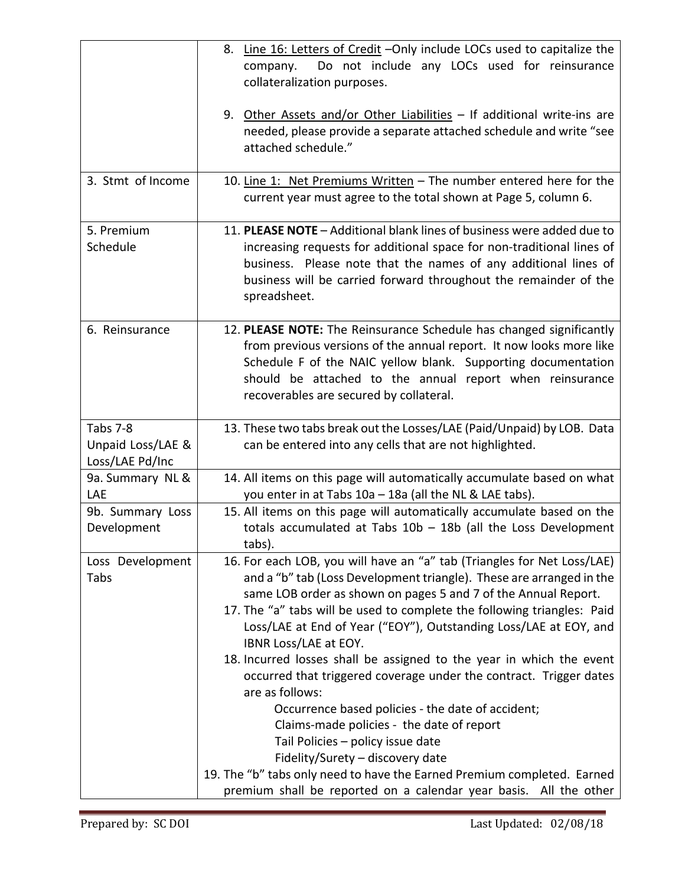|                                                  | 8. Line 16: Letters of Credit - Only include LOCs used to capitalize the<br>Do not include any LOCs used for reinsurance<br>company.<br>collateralization purposes.                                                                                                                                                                                                                        |
|--------------------------------------------------|--------------------------------------------------------------------------------------------------------------------------------------------------------------------------------------------------------------------------------------------------------------------------------------------------------------------------------------------------------------------------------------------|
|                                                  | 9. Other Assets and/or Other Liabilities - If additional write-ins are<br>needed, please provide a separate attached schedule and write "see<br>attached schedule."                                                                                                                                                                                                                        |
| 3. Stmt of Income                                | 10. Line 1: Net Premiums Written - The number entered here for the<br>current year must agree to the total shown at Page 5, column 6.                                                                                                                                                                                                                                                      |
| 5. Premium<br>Schedule                           | 11. PLEASE NOTE - Additional blank lines of business were added due to<br>increasing requests for additional space for non-traditional lines of<br>business. Please note that the names of any additional lines of<br>business will be carried forward throughout the remainder of the<br>spreadsheet.                                                                                     |
| 6. Reinsurance                                   | 12. PLEASE NOTE: The Reinsurance Schedule has changed significantly<br>from previous versions of the annual report. It now looks more like<br>Schedule F of the NAIC yellow blank. Supporting documentation<br>should be attached to the annual report when reinsurance<br>recoverables are secured by collateral.                                                                         |
| Tabs 7-8<br>Unpaid Loss/LAE &<br>Loss/LAE Pd/Inc | 13. These two tabs break out the Losses/LAE (Paid/Unpaid) by LOB. Data<br>can be entered into any cells that are not highlighted.                                                                                                                                                                                                                                                          |
| 9a. Summary NL &<br>LAE                          | 14. All items on this page will automatically accumulate based on what<br>you enter in at Tabs 10a - 18a (all the NL & LAE tabs).                                                                                                                                                                                                                                                          |
| 9b. Summary Loss<br>Development                  | 15. All items on this page will automatically accumulate based on the<br>totals accumulated at Tabs $10b - 18b$ (all the Loss Development<br>tabs).                                                                                                                                                                                                                                        |
| Loss Development<br>Tabs                         | 16. For each LOB, you will have an "a" tab (Triangles for Net Loss/LAE)<br>and a "b" tab (Loss Development triangle). These are arranged in the<br>same LOB order as shown on pages 5 and 7 of the Annual Report.<br>17. The "a" tabs will be used to complete the following triangles: Paid<br>Loss/LAE at End of Year ("EOY"), Outstanding Loss/LAE at EOY, and<br>IBNR Loss/LAE at EOY. |
|                                                  | 18. Incurred losses shall be assigned to the year in which the event<br>occurred that triggered coverage under the contract. Trigger dates<br>are as follows:                                                                                                                                                                                                                              |
|                                                  | Occurrence based policies - the date of accident;<br>Claims-made policies - the date of report<br>Tail Policies - policy issue date<br>Fidelity/Surety - discovery date<br>19. The "b" tabs only need to have the Earned Premium completed. Earned                                                                                                                                         |
|                                                  | premium shall be reported on a calendar year basis. All the other                                                                                                                                                                                                                                                                                                                          |